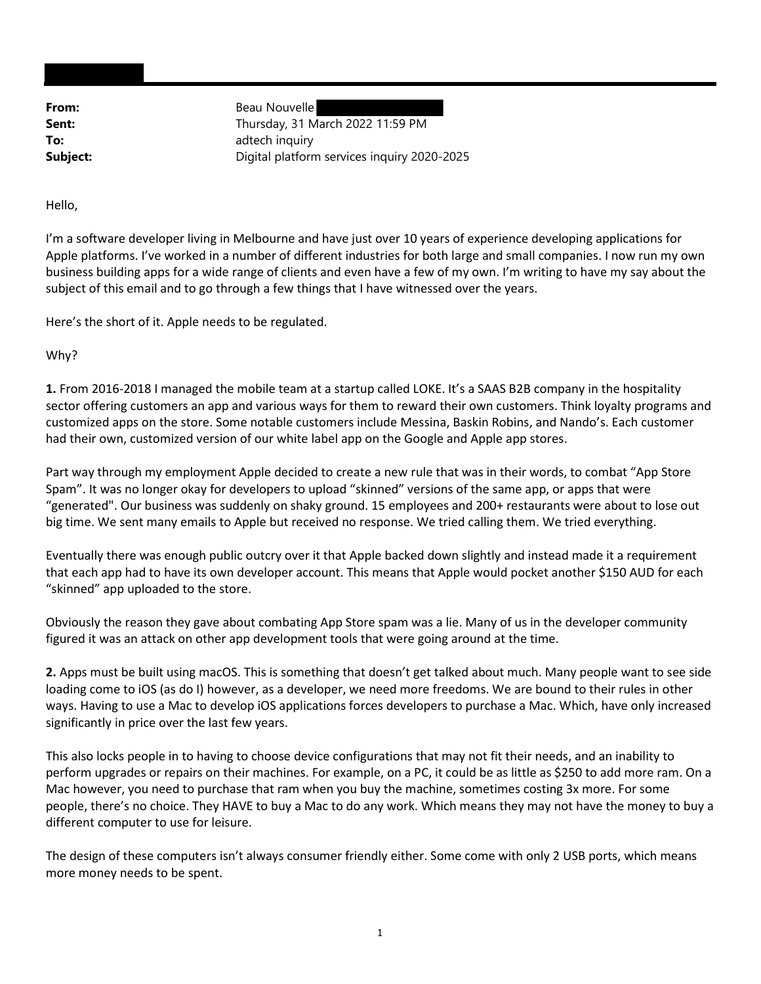From: Beau Nouvelle **Sent:** Thursday, 31 March 2022 11:59 PM To: adtech inquiry **Subject:** Digital platform services inquiry 2020-2025

Hello,

I'm a software developer living in Melbourne and have just over 10 years of experience developing applications for Apple platforms. I've worked in a number of different industries for both large and small companies. I now run my own business building apps for a wide range of clients and even have a few of my own. I'm writing to have my say about the subject of this email and to go through a few things that I have witnessed over the years.

Here's the short of it. Apple needs to be regulated.

Why?

1. From 2016-2018 I managed the mobile team at a startup called LOKE. It's a SAAS B2B company in the hospitality sector offering customers an app and various ways for them to reward their own customers. Think loyalty programs and customized apps on the store. Some notable customers include Messina, Baskin Robins, and Nando's. Each customer had their own, customized version of our white label app on the Google and Apple app stores.

Part way through my employment Apple decided to create a new rule that was in their words, to combat "App Store Spam". It was no longer okay for developers to upload "skinned" versions of the same app, or apps that were "generated". Our business was suddenly on shaky ground. 15 employees and 200+ restaurants were about to lose out big time. We sent many emails to Apple but received no response. We tried calling them. We tried everything.

Eventually there was enough public outcry over it that Apple backed down slightly and instead made it a requirement that each app had to have its own developer account. This means that Apple would pocket another \$150 AUD for each "skinned" app uploaded to the store.

Obviously the reason they gave about combating App Store spam was a lie. Many of us in the developer community figured it was an attack on other app development tools that were going around at the time.

2. Apps must be built using macOS. This is something that doesn't get talked about much. Many people want to see side loading come to iOS (as do I) however, as a developer, we need more freedoms. We are bound to their rules in other ways. Having to use a Mac to develop iOS applications forces developers to purchase a Mac. Which, have only increased significantly in price over the last few years.

This also locks people in to having to choose device configurations that may not fit their needs, and an inability to perform upgrades or repairs on their machines. For example, on a PC, it could be as little as \$250 to add more ram. On a Mac however, you need to purchase that ram when you buy the machine, sometimes costing 3x more. For some people, there's no choice. They HAVE to buy a Mac to do any work. Which means they may not have the money to buy a different computer to use for leisure.

The design of these computers isn't always consumer friendly either. Some come with only 2 USB ports, which means more money needs to be spent.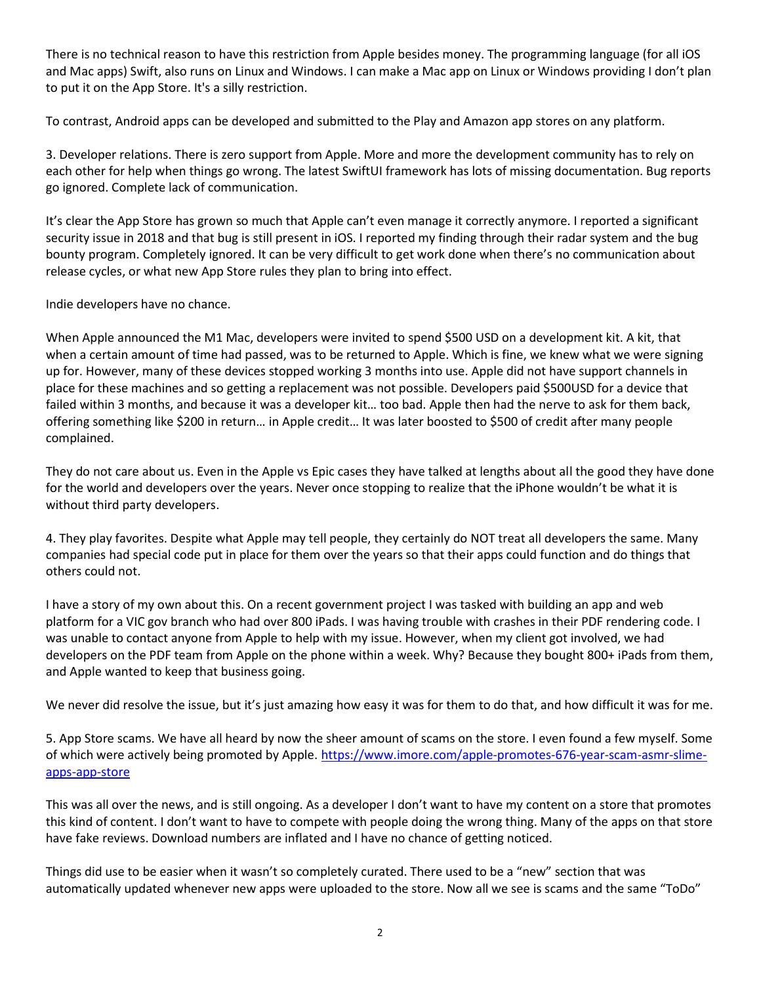There is no technical reason to have this restriction from Apple besides money. The programming language (for all iOS and Mac apps) Swift, also runs on Linux and Windows. I can make a Mac app on Linux or Windows providing I don't plan to put it on the App Store. It's a silly restriction.

To contrast, Android apps can be developed and submitted to the Play and Amazon app stores on any platform.

3. Developer relations. There is zero support from Apple. More and more the development community has to rely on each other for help when things go wrong. The latest SwiftUI framework has lots of missing documentation. Bug reports go ignored. Complete lack of communication.

It's clear the App Store has grown so much that Apple can't even manage it correctly anymore. I reported a significant security issue in 2018 and that bug is still present in iOS. I reported my finding through their radar system and the bug bounty program. Completely ignored. It can be very difficult to get work done when there's no communication about release cycles, or what new App Store rules they plan to bring into effect.

Indie developers have no chance.

When Apple announced the M1 Mac, developers were invited to spend \$500 USD on a development kit. A kit, that when a certain amount of time had passed, was to be returned to Apple. Which is fine, we knew what we were signing up for. However, many of these devices stopped working 3 months into use. Apple did not have support channels in place for these machines and so getting a replacement was not possible. Developers paid \$500USD for a device that failed within 3 months, and because it was a developer kit… too bad. Apple then had the nerve to ask for them back, offering something like \$200 in return… in Apple credit… It was later boosted to \$500 of credit after many people complained.

They do not care about us. Even in the Apple vs Epic cases they have talked at lengths about all the good they have done for the world and developers over the years. Never once stopping to realize that the iPhone wouldn't be what it is without third party developers.

4. They play favorites. Despite what Apple may tell people, they certainly do NOT treat all developers the same. Many companies had special code put in place for them over the years so that their apps could function and do things that others could not.

I have a story of my own about this. On a recent government project I was tasked with building an app and web platform for a VIC gov branch who had over 800 iPads. I was having trouble with crashes in their PDF rendering code. I was unable to contact anyone from Apple to help with my issue. However, when my client got involved, we had developers on the PDF team from Apple on the phone within a week. Why? Because they bought 800+ iPads from them, and Apple wanted to keep that business going.

We never did resolve the issue, but it's just amazing how easy it was for them to do that, and how difficult it was for me.

5. App Store scams. We have all heard by now the sheer amount of scams on the store. I even found a few myself. Some of which were actively being promoted by Apple. https://www.imore.com/apple-promotes-676-year-scam-asmr-slimeapps-app-store

This was all over the news, and is still ongoing. As a developer I don't want to have my content on a store that promotes this kind of content. I don't want to have to compete with people doing the wrong thing. Many of the apps on that store have fake reviews. Download numbers are inflated and I have no chance of getting noticed.

Things did use to be easier when it wasn't so completely curated. There used to be a "new" section that was automatically updated whenever new apps were uploaded to the store. Now all we see is scams and the same "ToDo"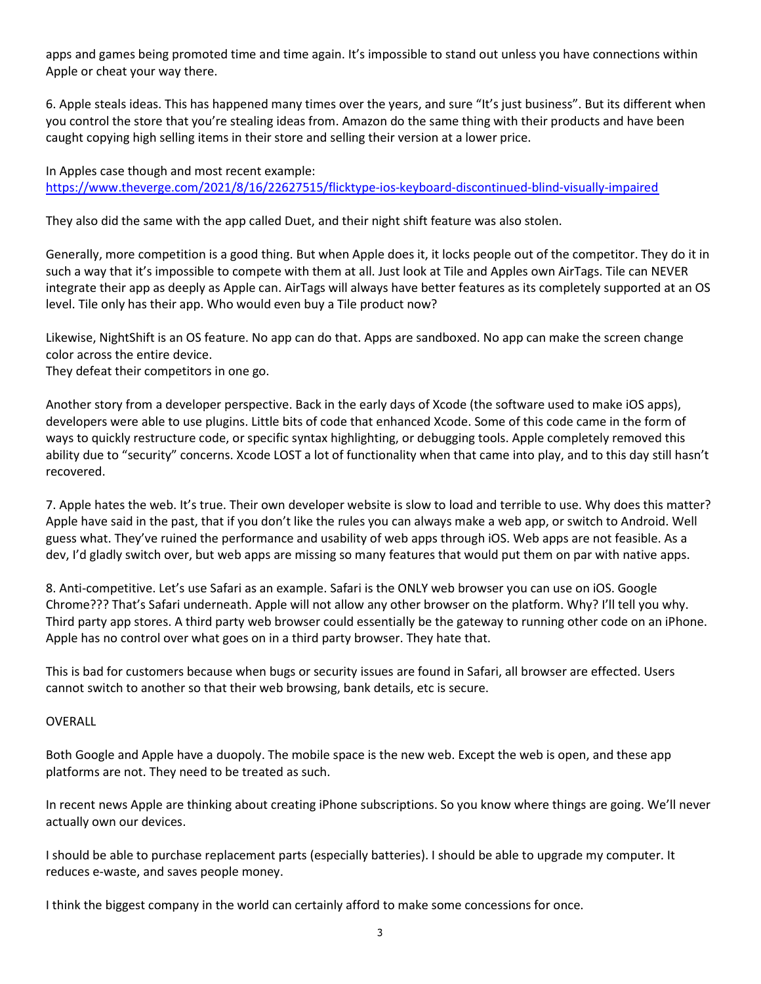apps and games being promoted time and time again. It's impossible to stand out unless you have connections within Apple or cheat your way there.

6. Apple steals ideas. This has happened many times over the years, and sure "It's just business". But its different when you control the store that you're stealing ideas from. Amazon do the same thing with their products and have been caught copying high selling items in their store and selling their version at a lower price.

In Apples case though and most recent example: https://www.theverge.com/2021/8/16/22627515/flicktype-ios-keyboard-discontinued-blind-visually-impaired

They also did the same with the app called Duet, and their night shift feature was also stolen.

Generally, more competition is a good thing. But when Apple does it, it locks people out of the competitor. They do it in such a way that it's impossible to compete with them at all. Just look at Tile and Apples own AirTags. Tile can NEVER integrate their app as deeply as Apple can. AirTags will always have better features as its completely supported at an OS level. Tile only has their app. Who would even buy a Tile product now?

Likewise, NightShift is an OS feature. No app can do that. Apps are sandboxed. No app can make the screen change color across the entire device.

They defeat their competitors in one go.

Another story from a developer perspective. Back in the early days of Xcode (the software used to make iOS apps), developers were able to use plugins. Little bits of code that enhanced Xcode. Some of this code came in the form of ways to quickly restructure code, or specific syntax highlighting, or debugging tools. Apple completely removed this ability due to "security" concerns. Xcode LOST a lot of functionality when that came into play, and to this day still hasn't recovered.

7. Apple hates the web. It's true. Their own developer website is slow to load and terrible to use. Why does this matter? Apple have said in the past, that if you don't like the rules you can always make a web app, or switch to Android. Well guess what. They've ruined the performance and usability of web apps through iOS. Web apps are not feasible. As a dev, I'd gladly switch over, but web apps are missing so many features that would put them on par with native apps.

8. Anti-competitive. Let's use Safari as an example. Safari is the ONLY web browser you can use on iOS. Google Chrome??? That's Safari underneath. Apple will not allow any other browser on the platform. Why? I'll tell you why. Third party app stores. A third party web browser could essentially be the gateway to running other code on an iPhone. Apple has no control over what goes on in a third party browser. They hate that.

This is bad for customers because when bugs or security issues are found in Safari, all browser are effected. Users cannot switch to another so that their web browsing, bank details, etc is secure.

## OVERALL

Both Google and Apple have a duopoly. The mobile space is the new web. Except the web is open, and these app platforms are not. They need to be treated as such.

In recent news Apple are thinking about creating iPhone subscriptions. So you know where things are going. We'll never actually own our devices.

I should be able to purchase replacement parts (especially batteries). I should be able to upgrade my computer. It reduces e-waste, and saves people money.

I think the biggest company in the world can certainly afford to make some concessions for once.